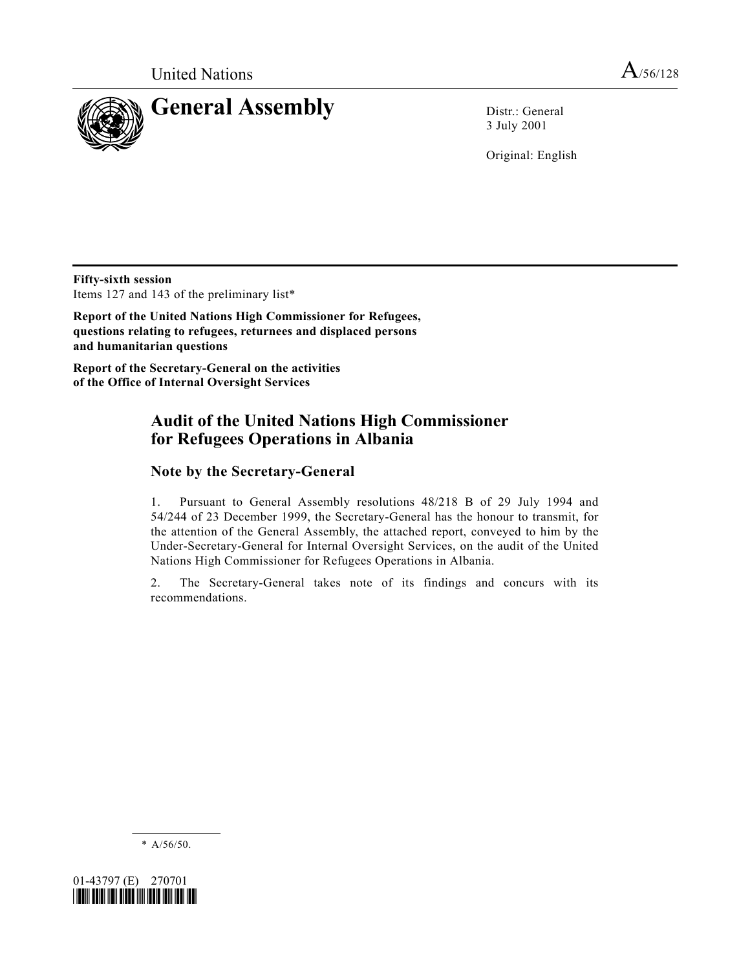

3 July 2001

Original: English

**Fifty-sixth session** Items 127 and 143 of the preliminary list\*

**Report of the United Nations High Commissioner for Refugees, questions relating to refugees, returnees and displaced persons and humanitarian questions**

**Report of the Secretary-General on the activities of the Office of Internal Oversight Services**

# **Audit of the United Nations High Commissioner for Refugees Operations in Albania**

## **Note by the Secretary-General**

1. Pursuant to General Assembly resolutions 48/218 B of 29 July 1994 and 54/244 of 23 December 1999, the Secretary-General has the honour to transmit, for the attention of the General Assembly, the attached report, conveyed to him by the Under-Secretary-General for Internal Oversight Services, on the audit of the United Nations High Commissioner for Refugees Operations in Albania.

2. The Secretary-General takes note of its findings and concurs with its recommendations.

\* A/56/50.

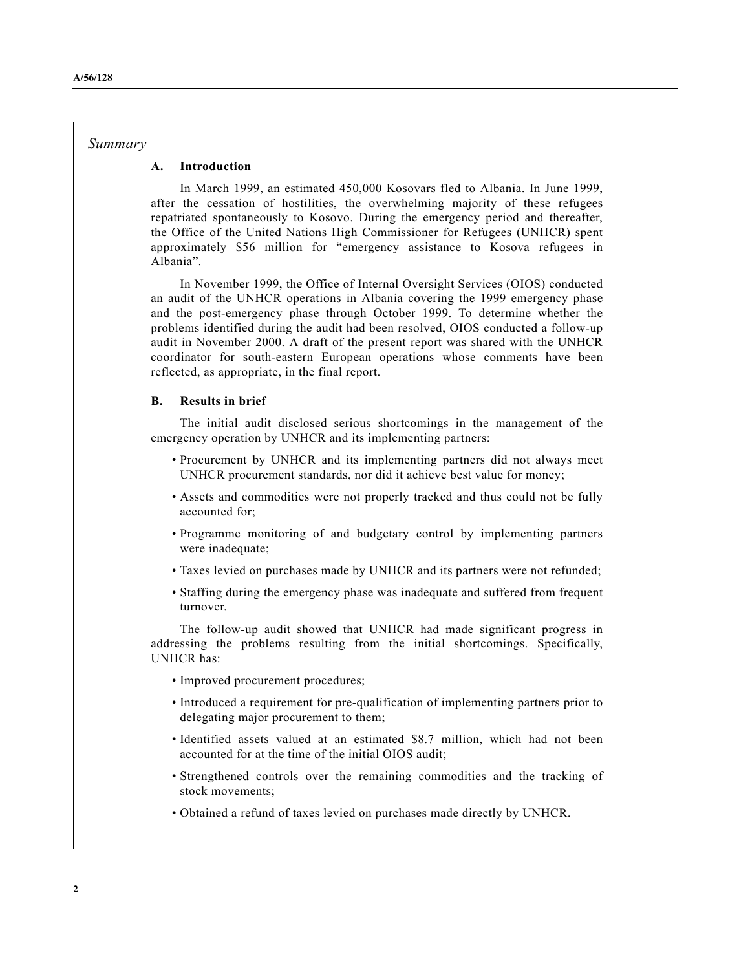#### *Summary*

#### **A. Introduction**

In March 1999, an estimated 450,000 Kosovars fled to Albania. In June 1999, after the cessation of hostilities, the overwhelming majority of these refugees repatriated spontaneously to Kosovo. During the emergency period and thereafter, the Office of the United Nations High Commissioner for Refugees (UNHCR) spent approximately \$56 million for "emergency assistance to Kosova refugees in Albania".

In November 1999, the Office of Internal Oversight Services (OIOS) conducted an audit of the UNHCR operations in Albania covering the 1999 emergency phase and the post-emergency phase through October 1999. To determine whether the problems identified during the audit had been resolved, OIOS conducted a follow-up audit in November 2000. A draft of the present report was shared with the UNHCR coordinator for south-eastern European operations whose comments have been reflected, as appropriate, in the final report.

#### **B. Results in brief**

The initial audit disclosed serious shortcomings in the management of the emergency operation by UNHCR and its implementing partners:

- Procurement by UNHCR and its implementing partners did not always meet UNHCR procurement standards, nor did it achieve best value for money;
- Assets and commodities were not properly tracked and thus could not be fully accounted for;
- Programme monitoring of and budgetary control by implementing partners were inadequate;
- Taxes levied on purchases made by UNHCR and its partners were not refunded;
- Staffing during the emergency phase was inadequate and suffered from frequent turnover.

The follow-up audit showed that UNHCR had made significant progress in addressing the problems resulting from the initial shortcomings. Specifically, UNHCR has:

- Improved procurement procedures;
- Introduced a requirement for pre-qualification of implementing partners prior to delegating major procurement to them;
- Identified assets valued at an estimated \$8.7 million, which had not been accounted for at the time of the initial OIOS audit;
- Strengthened controls over the remaining commodities and the tracking of stock movements;
- Obtained a refund of taxes levied on purchases made directly by UNHCR.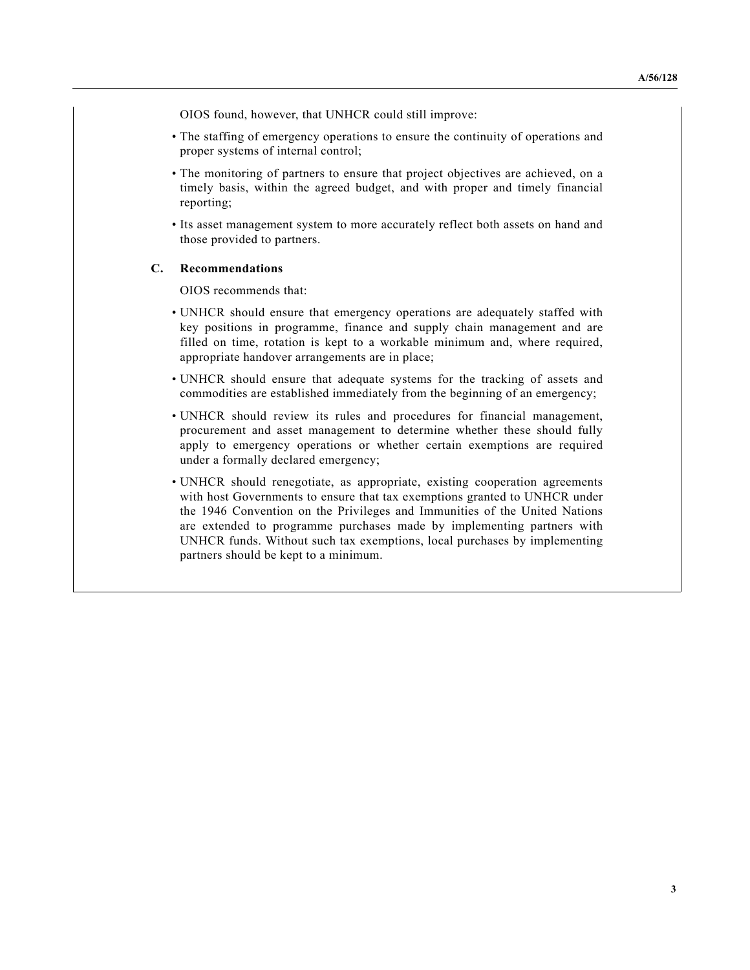OIOS found, however, that UNHCR could still improve:

- The staffing of emergency operations to ensure the continuity of operations and proper systems of internal control;
- The monitoring of partners to ensure that project objectives are achieved, on a timely basis, within the agreed budget, and with proper and timely financial reporting;
- Its asset management system to more accurately reflect both assets on hand and those provided to partners.

#### **C. Recommendations**

OIOS recommends that:

- UNHCR should ensure that emergency operations are adequately staffed with key positions in programme, finance and supply chain management and are filled on time, rotation is kept to a workable minimum and, where required, appropriate handover arrangements are in place;
- UNHCR should ensure that adequate systems for the tracking of assets and commodities are established immediately from the beginning of an emergency;
- UNHCR should review its rules and procedures for financial management, procurement and asset management to determine whether these should fully apply to emergency operations or whether certain exemptions are required under a formally declared emergency;
- UNHCR should renegotiate, as appropriate, existing cooperation agreements with host Governments to ensure that tax exemptions granted to UNHCR under the 1946 Convention on the Privileges and Immunities of the United Nations are extended to programme purchases made by implementing partners with UNHCR funds. Without such tax exemptions, local purchases by implementing partners should be kept to a minimum.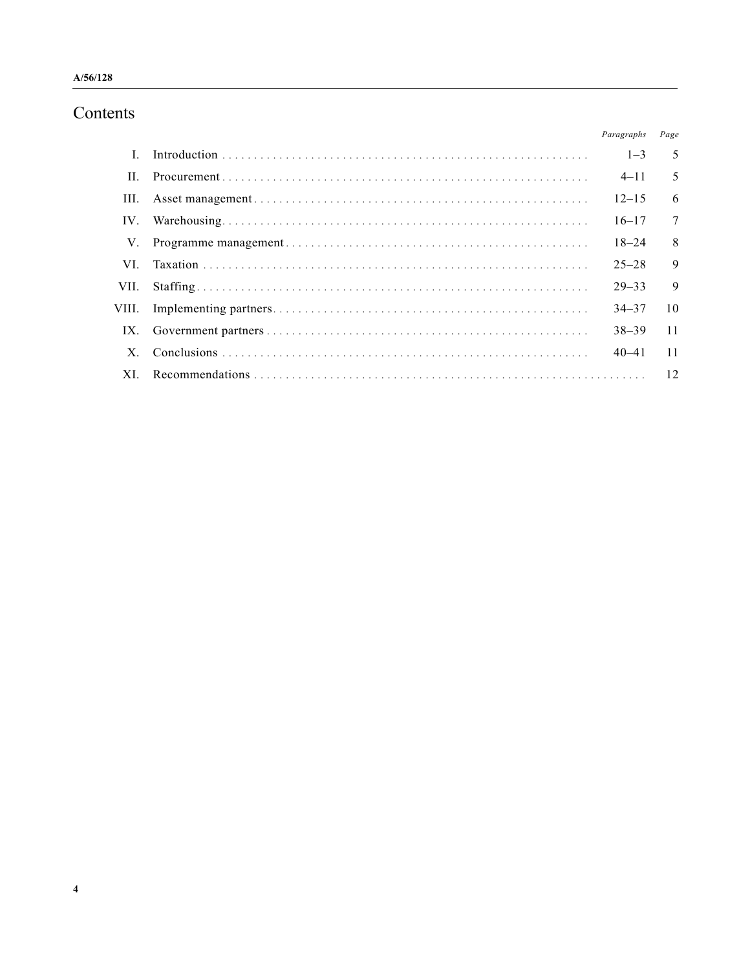# Contents

|          | Paragraphs | Page |
|----------|------------|------|
|          | $1 - 3$    | 5    |
| Н.       | $4 - 11$   | 5    |
| III.     | $12 - 15$  | 6    |
| $IV_{-}$ | $16 - 17$  | 7    |
| V.       | $18 - 24$  | 8    |
| VI.      | $25 - 28$  | 9    |
| VII.     | $29 - 33$  | 9    |
| VIII.    | $34 - 37$  | 10   |
| IX.      | $38 - 39$  | 11   |
|          | $40 - 41$  | 11   |
| XL       |            |      |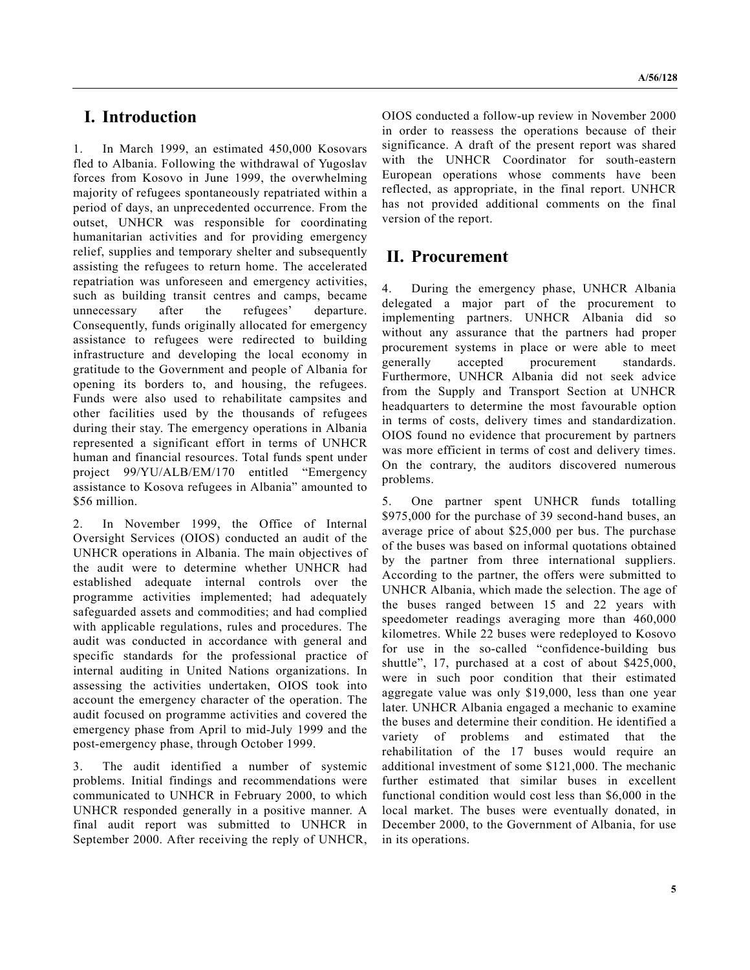## **I. Introduction**

1. In March 1999, an estimated 450,000 Kosovars fled to Albania. Following the withdrawal of Yugoslav forces from Kosovo in June 1999, the overwhelming majority of refugees spontaneously repatriated within a period of days, an unprecedented occurrence. From the outset, UNHCR was responsible for coordinating humanitarian activities and for providing emergency relief, supplies and temporary shelter and subsequently assisting the refugees to return home. The accelerated repatriation was unforeseen and emergency activities, such as building transit centres and camps, became unnecessary after the refugees' departure. Consequently, funds originally allocated for emergency assistance to refugees were redirected to building infrastructure and developing the local economy in gratitude to the Government and people of Albania for opening its borders to, and housing, the refugees. Funds were also used to rehabilitate campsites and other facilities used by the thousands of refugees during their stay. The emergency operations in Albania represented a significant effort in terms of UNHCR human and financial resources. Total funds spent under project 99/YU/ALB/EM/170 entitled "Emergency assistance to Kosova refugees in Albania" amounted to \$56 million.

2. In November 1999, the Office of Internal Oversight Services (OIOS) conducted an audit of the UNHCR operations in Albania. The main objectives of the audit were to determine whether UNHCR had established adequate internal controls over the programme activities implemented; had adequately safeguarded assets and commodities; and had complied with applicable regulations, rules and procedures. The audit was conducted in accordance with general and specific standards for the professional practice of internal auditing in United Nations organizations. In assessing the activities undertaken, OIOS took into account the emergency character of the operation. The audit focused on programme activities and covered the emergency phase from April to mid-July 1999 and the post-emergency phase, through October 1999.

3. The audit identified a number of systemic problems. Initial findings and recommendations were communicated to UNHCR in February 2000, to which UNHCR responded generally in a positive manner. A final audit report was submitted to UNHCR in September 2000. After receiving the reply of UNHCR, OIOS conducted a follow-up review in November 2000 in order to reassess the operations because of their significance. A draft of the present report was shared with the UNHCR Coordinator for south-eastern European operations whose comments have been reflected, as appropriate, in the final report. UNHCR has not provided additional comments on the final version of the report.

# **II. Procurement**

4. During the emergency phase, UNHCR Albania delegated a major part of the procurement to implementing partners. UNHCR Albania did so without any assurance that the partners had proper procurement systems in place or were able to meet generally accepted procurement standards. Furthermore, UNHCR Albania did not seek advice from the Supply and Transport Section at UNHCR headquarters to determine the most favourable option in terms of costs, delivery times and standardization. OIOS found no evidence that procurement by partners was more efficient in terms of cost and delivery times. On the contrary, the auditors discovered numerous problems.

5. One partner spent UNHCR funds totalling \$975,000 for the purchase of 39 second-hand buses, an average price of about \$25,000 per bus. The purchase of the buses was based on informal quotations obtained by the partner from three international suppliers. According to the partner, the offers were submitted to UNHCR Albania, which made the selection. The age of the buses ranged between 15 and 22 years with speedometer readings averaging more than 460,000 kilometres. While 22 buses were redeployed to Kosovo for use in the so-called "confidence-building bus shuttle", 17, purchased at a cost of about \$425,000, were in such poor condition that their estimated aggregate value was only \$19,000, less than one year later. UNHCR Albania engaged a mechanic to examine the buses and determine their condition. He identified a variety of problems and estimated that the rehabilitation of the 17 buses would require an additional investment of some \$121,000. The mechanic further estimated that similar buses in excellent functional condition would cost less than \$6,000 in the local market. The buses were eventually donated, in December 2000, to the Government of Albania, for use in its operations.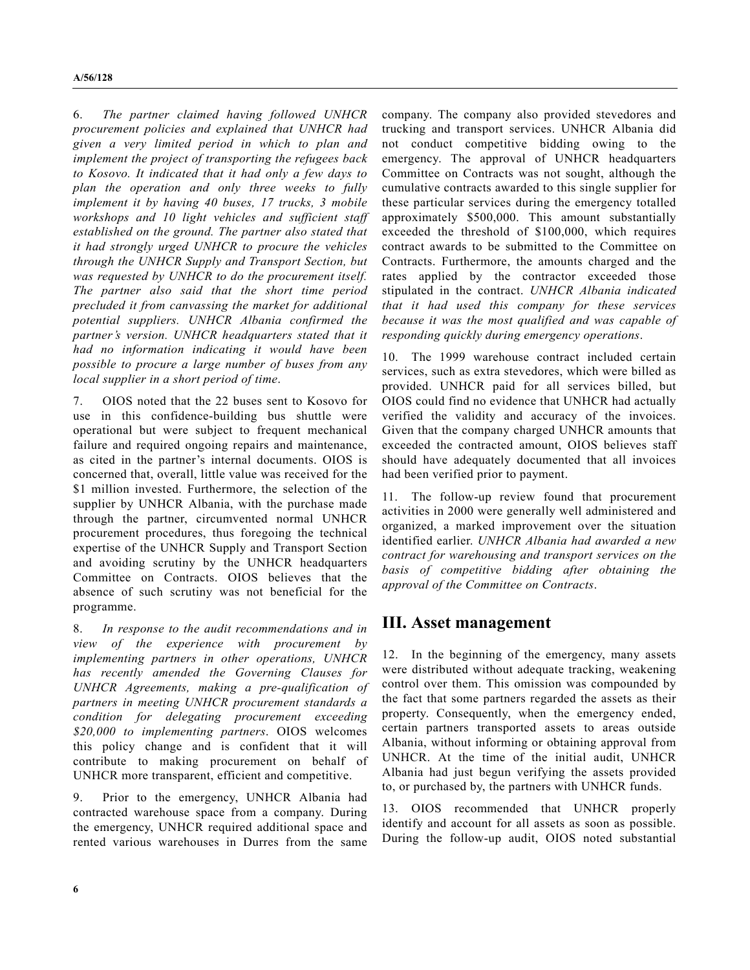6. *The partner claimed having followed UNHCR procurement policies and explained that UNHCR had given a very limited period in which to plan and implement the project of transporting the refugees back to Kosovo. It indicated that it had only a few days to plan the operation and only three weeks to fully implement it by having 40 buses, 17 trucks, 3 mobile workshops and 10 light vehicles and sufficient staff established on the ground. The partner also stated that it had strongly urged UNHCR to procure the vehicles through the UNHCR Supply and Transport Section, but was requested by UNHCR to do the procurement itself. The partner also said that the short time period precluded it from canvassing the market for additional potential suppliers. UNHCR Albania confirmed the partner's version. UNHCR headquarters stated that it had no information indicating it would have been possible to procure a large number of buses from any local supplier in a short period of time*.

7. OIOS noted that the 22 buses sent to Kosovo for use in this confidence-building bus shuttle were operational but were subject to frequent mechanical failure and required ongoing repairs and maintenance, as cited in the partner's internal documents. OIOS is concerned that, overall, little value was received for the \$1 million invested. Furthermore, the selection of the supplier by UNHCR Albania, with the purchase made through the partner, circumvented normal UNHCR procurement procedures, thus foregoing the technical expertise of the UNHCR Supply and Transport Section and avoiding scrutiny by the UNHCR headquarters Committee on Contracts. OIOS believes that the absence of such scrutiny was not beneficial for the programme.

8. *In response to the audit recommendations and in view of the experience with procurement by implementing partners in other operations, UNHCR has recently amended the Governing Clauses for UNHCR Agreements, making a pre-qualification of partners in meeting UNHCR procurement standards a condition for delegating procurement exceeding \$20,000 to implementing partners*. OIOS welcomes this policy change and is confident that it will contribute to making procurement on behalf of UNHCR more transparent, efficient and competitive.

9. Prior to the emergency, UNHCR Albania had contracted warehouse space from a company. During the emergency, UNHCR required additional space and rented various warehouses in Durres from the same company. The company also provided stevedores and trucking and transport services. UNHCR Albania did not conduct competitive bidding owing to the emergency. The approval of UNHCR headquarters Committee on Contracts was not sought, although the cumulative contracts awarded to this single supplier for these particular services during the emergency totalled approximately \$500,000. This amount substantially exceeded the threshold of \$100,000, which requires contract awards to be submitted to the Committee on Contracts. Furthermore, the amounts charged and the rates applied by the contractor exceeded those stipulated in the contract. *UNHCR Albania indicated that it had used this company for these services because it was the most qualified and was capable of responding quickly during emergency operations*.

10. The 1999 warehouse contract included certain services, such as extra stevedores, which were billed as provided. UNHCR paid for all services billed, but OIOS could find no evidence that UNHCR had actually verified the validity and accuracy of the invoices. Given that the company charged UNHCR amounts that exceeded the contracted amount, OIOS believes staff should have adequately documented that all invoices had been verified prior to payment.

11. The follow-up review found that procurement activities in 2000 were generally well administered and organized, a marked improvement over the situation identified earlier. *UNHCR Albania had awarded a new contract for warehousing and transport services on the basis of competitive bidding after obtaining the approval of the Committee on Contracts*.

## **III. Asset management**

12. In the beginning of the emergency, many assets were distributed without adequate tracking, weakening control over them. This omission was compounded by the fact that some partners regarded the assets as their property. Consequently, when the emergency ended, certain partners transported assets to areas outside Albania, without informing or obtaining approval from UNHCR. At the time of the initial audit, UNHCR Albania had just begun verifying the assets provided to, or purchased by, the partners with UNHCR funds.

13. OIOS recommended that UNHCR properly identify and account for all assets as soon as possible. During the follow-up audit, OIOS noted substantial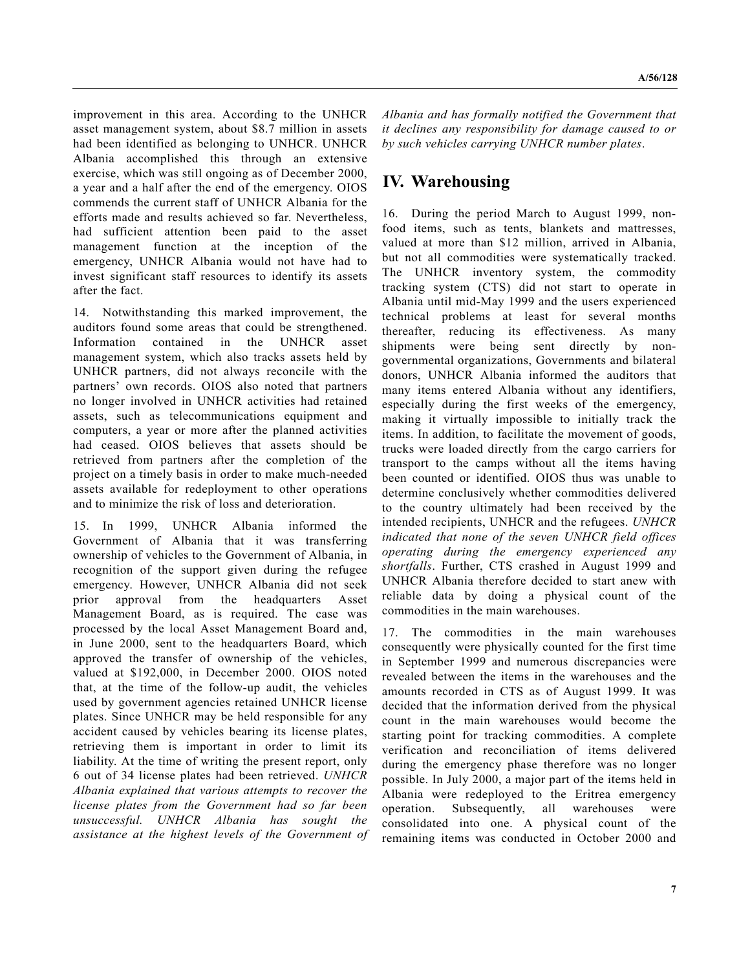improvement in this area. According to the UNHCR asset management system, about \$8.7 million in assets had been identified as belonging to UNHCR. UNHCR Albania accomplished this through an extensive exercise, which was still ongoing as of December 2000, a year and a half after the end of the emergency. OIOS commends the current staff of UNHCR Albania for the efforts made and results achieved so far. Nevertheless, had sufficient attention been paid to the asset management function at the inception of the emergency, UNHCR Albania would not have had to invest significant staff resources to identify its assets after the fact.

14. Notwithstanding this marked improvement, the auditors found some areas that could be strengthened. Information contained in the UNHCR asset management system, which also tracks assets held by UNHCR partners, did not always reconcile with the partners' own records. OIOS also noted that partners no longer involved in UNHCR activities had retained assets, such as telecommunications equipment and computers, a year or more after the planned activities had ceased. OIOS believes that assets should be retrieved from partners after the completion of the project on a timely basis in order to make much-needed assets available for redeployment to other operations and to minimize the risk of loss and deterioration.

15. In 1999, UNHCR Albania informed the Government of Albania that it was transferring ownership of vehicles to the Government of Albania, in recognition of the support given during the refugee emergency. However, UNHCR Albania did not seek prior approval from the headquarters Asset Management Board, as is required. The case was processed by the local Asset Management Board and, in June 2000, sent to the headquarters Board, which approved the transfer of ownership of the vehicles, valued at \$192,000, in December 2000. OIOS noted that, at the time of the follow-up audit, the vehicles used by government agencies retained UNHCR license plates. Since UNHCR may be held responsible for any accident caused by vehicles bearing its license plates, retrieving them is important in order to limit its liability. At the time of writing the present report, only 6 out of 34 license plates had been retrieved. *UNHCR Albania explained that various attempts to recover the license plates from the Government had so far been unsuccessful. UNHCR Albania has sought the assistance at the highest levels of the Government of*

*Albania and has formally notified the Government that it declines any responsibility for damage caused to or by such vehicles carrying UNHCR number plates*.

## **IV. Warehousing**

16. During the period March to August 1999, nonfood items, such as tents, blankets and mattresses, valued at more than \$12 million, arrived in Albania, but not all commodities were systematically tracked. The UNHCR inventory system, the commodity tracking system (CTS) did not start to operate in Albania until mid-May 1999 and the users experienced technical problems at least for several months thereafter, reducing its effectiveness. As many shipments were being sent directly by nongovernmental organizations, Governments and bilateral donors, UNHCR Albania informed the auditors that many items entered Albania without any identifiers, especially during the first weeks of the emergency, making it virtually impossible to initially track the items. In addition, to facilitate the movement of goods, trucks were loaded directly from the cargo carriers for transport to the camps without all the items having been counted or identified. OIOS thus was unable to determine conclusively whether commodities delivered to the country ultimately had been received by the intended recipients, UNHCR and the refugees. *UNHCR indicated that none of the seven UNHCR field offices operating during the emergency experienced any shortfalls*. Further, CTS crashed in August 1999 and UNHCR Albania therefore decided to start anew with reliable data by doing a physical count of the commodities in the main warehouses.

17. The commodities in the main warehouses consequently were physically counted for the first time in September 1999 and numerous discrepancies were revealed between the items in the warehouses and the amounts recorded in CTS as of August 1999. It was decided that the information derived from the physical count in the main warehouses would become the starting point for tracking commodities. A complete verification and reconciliation of items delivered during the emergency phase therefore was no longer possible. In July 2000, a major part of the items held in Albania were redeployed to the Eritrea emergency operation. Subsequently, all warehouses were consolidated into one. A physical count of the remaining items was conducted in October 2000 and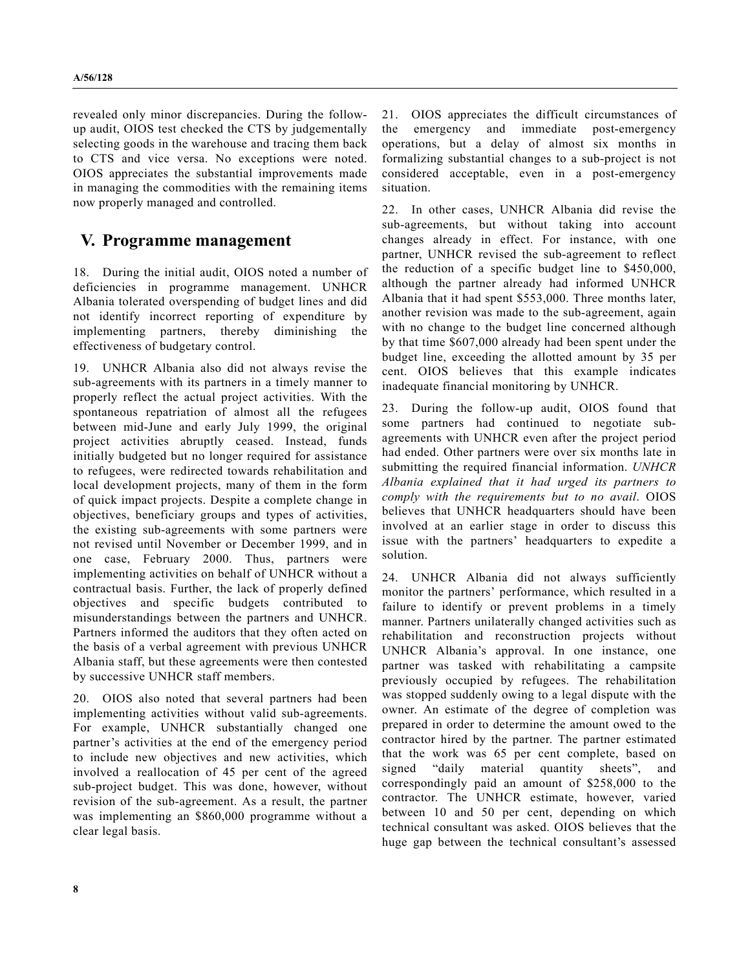revealed only minor discrepancies. During the followup audit, OIOS test checked the CTS by judgementally selecting goods in the warehouse and tracing them back to CTS and vice versa. No exceptions were noted. OIOS appreciates the substantial improvements made in managing the commodities with the remaining items now properly managed and controlled.

# **V. Programme management**

18. During the initial audit, OIOS noted a number of deficiencies in programme management. UNHCR Albania tolerated overspending of budget lines and did not identify incorrect reporting of expenditure by implementing partners, thereby diminishing the effectiveness of budgetary control.

19. UNHCR Albania also did not always revise the sub-agreements with its partners in a timely manner to properly reflect the actual project activities. With the spontaneous repatriation of almost all the refugees between mid-June and early July 1999, the original project activities abruptly ceased. Instead, funds initially budgeted but no longer required for assistance to refugees, were redirected towards rehabilitation and local development projects, many of them in the form of quick impact projects. Despite a complete change in objectives, beneficiary groups and types of activities, the existing sub-agreements with some partners were not revised until November or December 1999, and in one case, February 2000. Thus, partners were implementing activities on behalf of UNHCR without a contractual basis. Further, the lack of properly defined objectives and specific budgets contributed to misunderstandings between the partners and UNHCR. Partners informed the auditors that they often acted on the basis of a verbal agreement with previous UNHCR Albania staff, but these agreements were then contested by successive UNHCR staff members.

20. OIOS also noted that several partners had been implementing activities without valid sub-agreements. For example, UNHCR substantially changed one partner's activities at the end of the emergency period to include new objectives and new activities, which involved a reallocation of 45 per cent of the agreed sub-project budget. This was done, however, without revision of the sub-agreement. As a result, the partner was implementing an \$860,000 programme without a clear legal basis.

21. OIOS appreciates the difficult circumstances of the emergency and immediate post-emergency operations, but a delay of almost six months in formalizing substantial changes to a sub-project is not considered acceptable, even in a post-emergency situation.

22. In other cases, UNHCR Albania did revise the sub-agreements, but without taking into account changes already in effect. For instance, with one partner, UNHCR revised the sub-agreement to reflect the reduction of a specific budget line to \$450,000, although the partner already had informed UNHCR Albania that it had spent \$553,000. Three months later, another revision was made to the sub-agreement, again with no change to the budget line concerned although by that time \$607,000 already had been spent under the budget line, exceeding the allotted amount by 35 per cent. OIOS believes that this example indicates inadequate financial monitoring by UNHCR.

23. During the follow-up audit, OIOS found that some partners had continued to negotiate subagreements with UNHCR even after the project period had ended. Other partners were over six months late in submitting the required financial information. *UNHCR Albania explained that it had urged its partners to comply with the requirements but to no avail*. OIOS believes that UNHCR headquarters should have been involved at an earlier stage in order to discuss this issue with the partners' headquarters to expedite a solution.

24. UNHCR Albania did not always sufficiently monitor the partners' performance, which resulted in a failure to identify or prevent problems in a timely manner. Partners unilaterally changed activities such as rehabilitation and reconstruction projects without UNHCR Albania's approval. In one instance, one partner was tasked with rehabilitating a campsite previously occupied by refugees. The rehabilitation was stopped suddenly owing to a legal dispute with the owner. An estimate of the degree of completion was prepared in order to determine the amount owed to the contractor hired by the partner. The partner estimated that the work was 65 per cent complete, based on signed "daily material quantity sheets", and correspondingly paid an amount of \$258,000 to the contractor. The UNHCR estimate, however, varied between 10 and 50 per cent, depending on which technical consultant was asked. OIOS believes that the huge gap between the technical consultant's assessed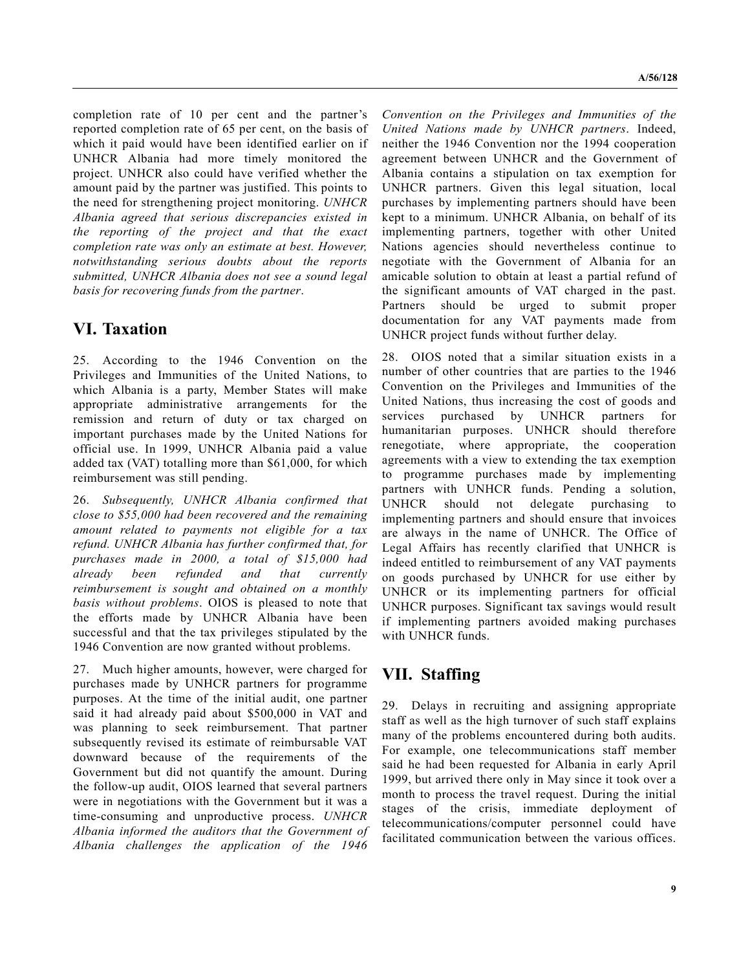completion rate of 10 per cent and the partner's reported completion rate of 65 per cent, on the basis of which it paid would have been identified earlier on if UNHCR Albania had more timely monitored the project. UNHCR also could have verified whether the amount paid by the partner was justified. This points to the need for strengthening project monitoring. *UNHCR Albania agreed that serious discrepancies existed in the reporting of the project and that the exact completion rate was only an estimate at best. However, notwithstanding serious doubts about the reports submitted, UNHCR Albania does not see a sound legal basis for recovering funds from the partner*.

## **VI. Taxation**

25. According to the 1946 Convention on the Privileges and Immunities of the United Nations, to which Albania is a party, Member States will make appropriate administrative arrangements for the remission and return of duty or tax charged on important purchases made by the United Nations for official use. In 1999, UNHCR Albania paid a value added tax (VAT) totalling more than \$61,000, for which reimbursement was still pending.

26. *Subsequently, UNHCR Albania confirmed that close to \$55,000 had been recovered and the remaining amount related to payments not eligible for a tax refund. UNHCR Albania has further confirmed that, for purchases made in 2000, a total of \$15,000 had already been refunded and that currently reimbursement is sought and obtained on a monthly basis without problems*. OIOS is pleased to note that the efforts made by UNHCR Albania have been successful and that the tax privileges stipulated by the 1946 Convention are now granted without problems.

27. Much higher amounts, however, were charged for purchases made by UNHCR partners for programme purposes. At the time of the initial audit, one partner said it had already paid about \$500,000 in VAT and was planning to seek reimbursement. That partner subsequently revised its estimate of reimbursable VAT downward because of the requirements of the Government but did not quantify the amount. During the follow-up audit, OIOS learned that several partners were in negotiations with the Government but it was a time-consuming and unproductive process. *UNHCR Albania informed the auditors that the Government of Albania challenges the application of the 1946*

*Convention on the Privileges and Immunities of the United Nations made by UNHCR partners*. Indeed, neither the 1946 Convention nor the 1994 cooperation agreement between UNHCR and the Government of Albania contains a stipulation on tax exemption for UNHCR partners. Given this legal situation, local purchases by implementing partners should have been kept to a minimum. UNHCR Albania, on behalf of its implementing partners, together with other United Nations agencies should nevertheless continue to negotiate with the Government of Albania for an amicable solution to obtain at least a partial refund of the significant amounts of VAT charged in the past. Partners should be urged to submit proper documentation for any VAT payments made from UNHCR project funds without further delay.

28. OIOS noted that a similar situation exists in a number of other countries that are parties to the 1946 Convention on the Privileges and Immunities of the United Nations, thus increasing the cost of goods and services purchased by UNHCR partners for humanitarian purposes. UNHCR should therefore renegotiate, where appropriate, the cooperation agreements with a view to extending the tax exemption to programme purchases made by implementing partners with UNHCR funds. Pending a solution, UNHCR should not delegate purchasing to implementing partners and should ensure that invoices are always in the name of UNHCR. The Office of Legal Affairs has recently clarified that UNHCR is indeed entitled to reimbursement of any VAT payments on goods purchased by UNHCR for use either by UNHCR or its implementing partners for official UNHCR purposes. Significant tax savings would result if implementing partners avoided making purchases with UNHCR funds.

# **VII. Staffing**

29. Delays in recruiting and assigning appropriate staff as well as the high turnover of such staff explains many of the problems encountered during both audits. For example, one telecommunications staff member said he had been requested for Albania in early April 1999, but arrived there only in May since it took over a month to process the travel request. During the initial stages of the crisis, immediate deployment of telecommunications/computer personnel could have facilitated communication between the various offices.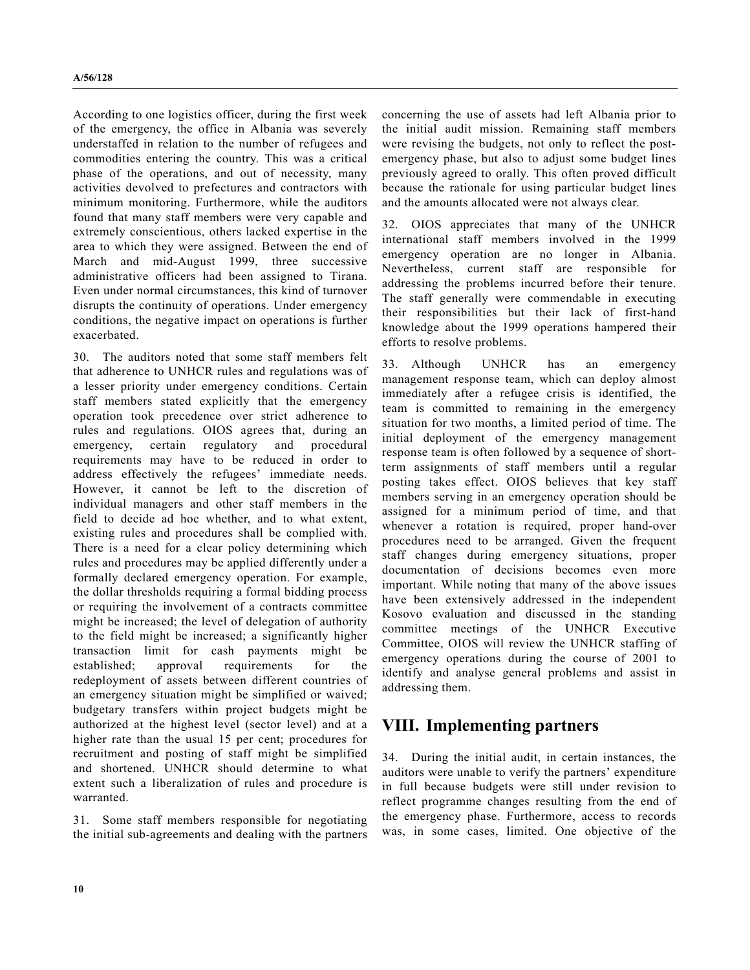According to one logistics officer, during the first week of the emergency, the office in Albania was severely understaffed in relation to the number of refugees and commodities entering the country. This was a critical phase of the operations, and out of necessity, many activities devolved to prefectures and contractors with minimum monitoring. Furthermore, while the auditors found that many staff members were very capable and extremely conscientious, others lacked expertise in the area to which they were assigned. Between the end of March and mid-August 1999, three successive administrative officers had been assigned to Tirana. Even under normal circumstances, this kind of turnover disrupts the continuity of operations. Under emergency conditions, the negative impact on operations is further exacerbated.

30. The auditors noted that some staff members felt that adherence to UNHCR rules and regulations was of a lesser priority under emergency conditions. Certain staff members stated explicitly that the emergency operation took precedence over strict adherence to rules and regulations. OIOS agrees that, during an emergency, certain regulatory and procedural requirements may have to be reduced in order to address effectively the refugees' immediate needs. However, it cannot be left to the discretion of individual managers and other staff members in the field to decide ad hoc whether, and to what extent, existing rules and procedures shall be complied with. There is a need for a clear policy determining which rules and procedures may be applied differently under a formally declared emergency operation. For example, the dollar thresholds requiring a formal bidding process or requiring the involvement of a contracts committee might be increased; the level of delegation of authority to the field might be increased; a significantly higher transaction limit for cash payments might be established; approval requirements for the redeployment of assets between different countries of an emergency situation might be simplified or waived; budgetary transfers within project budgets might be authorized at the highest level (sector level) and at a higher rate than the usual 15 per cent; procedures for recruitment and posting of staff might be simplified and shortened. UNHCR should determine to what extent such a liberalization of rules and procedure is warranted.

31. Some staff members responsible for negotiating the initial sub-agreements and dealing with the partners concerning the use of assets had left Albania prior to the initial audit mission. Remaining staff members were revising the budgets, not only to reflect the postemergency phase, but also to adjust some budget lines previously agreed to orally. This often proved difficult because the rationale for using particular budget lines and the amounts allocated were not always clear.

32. OIOS appreciates that many of the UNHCR international staff members involved in the 1999 emergency operation are no longer in Albania. Nevertheless, current staff are responsible for addressing the problems incurred before their tenure. The staff generally were commendable in executing their responsibilities but their lack of first-hand knowledge about the 1999 operations hampered their efforts to resolve problems.

33. Although UNHCR has an emergency management response team, which can deploy almost immediately after a refugee crisis is identified, the team is committed to remaining in the emergency situation for two months, a limited period of time. The initial deployment of the emergency management response team is often followed by a sequence of shortterm assignments of staff members until a regular posting takes effect. OIOS believes that key staff members serving in an emergency operation should be assigned for a minimum period of time, and that whenever a rotation is required, proper hand-over procedures need to be arranged. Given the frequent staff changes during emergency situations, proper documentation of decisions becomes even more important. While noting that many of the above issues have been extensively addressed in the independent Kosovo evaluation and discussed in the standing committee meetings of the UNHCR Executive Committee, OIOS will review the UNHCR staffing of emergency operations during the course of 2001 to identify and analyse general problems and assist in addressing them.

## **VIII. Implementing partners**

34. During the initial audit, in certain instances, the auditors were unable to verify the partners' expenditure in full because budgets were still under revision to reflect programme changes resulting from the end of the emergency phase. Furthermore, access to records was, in some cases, limited. One objective of the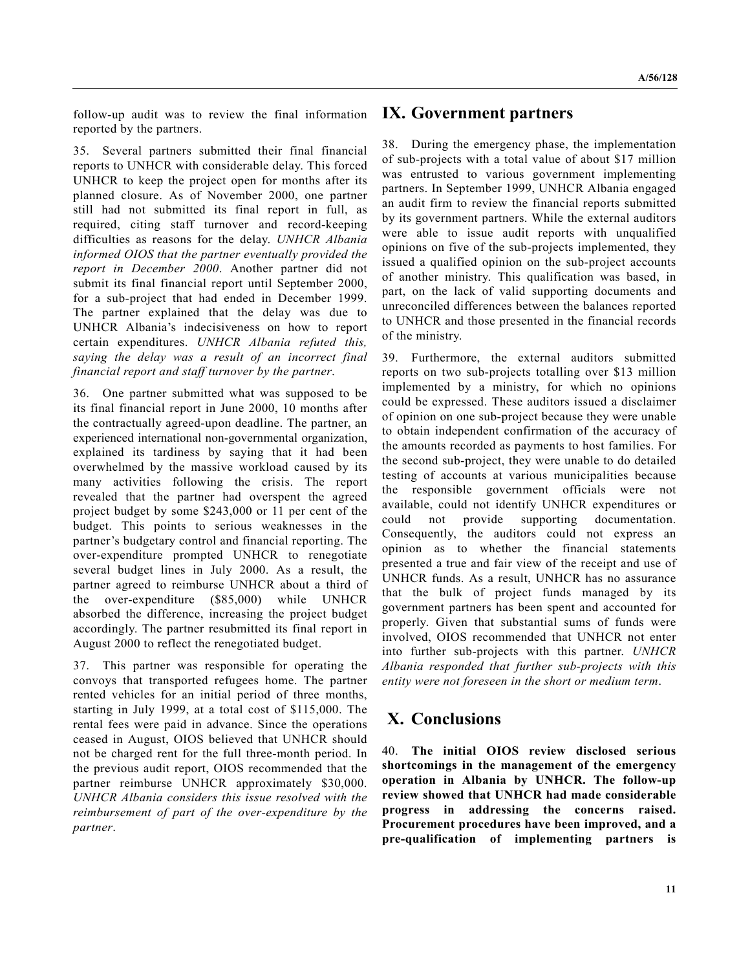follow-up audit was to review the final information reported by the partners.

35. Several partners submitted their final financial reports to UNHCR with considerable delay. This forced UNHCR to keep the project open for months after its planned closure. As of November 2000, one partner still had not submitted its final report in full, as required, citing staff turnover and record-keeping difficulties as reasons for the delay. *UNHCR Albania informed OIOS that the partner eventually provided the report in December 2000*. Another partner did not submit its final financial report until September 2000, for a sub-project that had ended in December 1999. The partner explained that the delay was due to UNHCR Albania's indecisiveness on how to report certain expenditures. *UNHCR Albania refuted this, saying the delay was a result of an incorrect final financial report and staff turnover by the partner*.

36. One partner submitted what was supposed to be its final financial report in June 2000, 10 months after the contractually agreed-upon deadline. The partner, an experienced international non-governmental organization, explained its tardiness by saying that it had been overwhelmed by the massive workload caused by its many activities following the crisis. The report revealed that the partner had overspent the agreed project budget by some \$243,000 or 11 per cent of the budget. This points to serious weaknesses in the partner's budgetary control and financial reporting. The over-expenditure prompted UNHCR to renegotiate several budget lines in July 2000. As a result, the partner agreed to reimburse UNHCR about a third of the over-expenditure (\$85,000) while UNHCR absorbed the difference, increasing the project budget accordingly. The partner resubmitted its final report in August 2000 to reflect the renegotiated budget.

37. This partner was responsible for operating the convoys that transported refugees home. The partner rented vehicles for an initial period of three months, starting in July 1999, at a total cost of \$115,000. The rental fees were paid in advance. Since the operations ceased in August, OIOS believed that UNHCR should not be charged rent for the full three-month period. In the previous audit report, OIOS recommended that the partner reimburse UNHCR approximately \$30,000. *UNHCR Albania considers this issue resolved with the reimbursement of part of the over-expenditure by the partner*.

# **IX. Government partners**

38. During the emergency phase, the implementation of sub-projects with a total value of about \$17 million was entrusted to various government implementing partners. In September 1999, UNHCR Albania engaged an audit firm to review the financial reports submitted by its government partners. While the external auditors were able to issue audit reports with unqualified opinions on five of the sub-projects implemented, they issued a qualified opinion on the sub-project accounts of another ministry. This qualification was based, in part, on the lack of valid supporting documents and unreconciled differences between the balances reported to UNHCR and those presented in the financial records of the ministry.

39. Furthermore, the external auditors submitted reports on two sub-projects totalling over \$13 million implemented by a ministry, for which no opinions could be expressed. These auditors issued a disclaimer of opinion on one sub-project because they were unable to obtain independent confirmation of the accuracy of the amounts recorded as payments to host families. For the second sub-project, they were unable to do detailed testing of accounts at various municipalities because the responsible government officials were not available, could not identify UNHCR expenditures or could not provide supporting documentation. Consequently, the auditors could not express an opinion as to whether the financial statements presented a true and fair view of the receipt and use of UNHCR funds. As a result, UNHCR has no assurance that the bulk of project funds managed by its government partners has been spent and accounted for properly. Given that substantial sums of funds were involved, OIOS recommended that UNHCR not enter into further sub-projects with this partner. *UNHCR Albania responded that further sub-projects with this entity were not foreseen in the short or medium term*.

# **X. Conclusions**

40. **The initial OIOS review disclosed serious shortcomings in the management of the emergency operation in Albania by UNHCR. The follow-up review showed that UNHCR had made considerable progress in addressing the concerns raised. Procurement procedures have been improved, and a pre-qualification of implementing partners is**